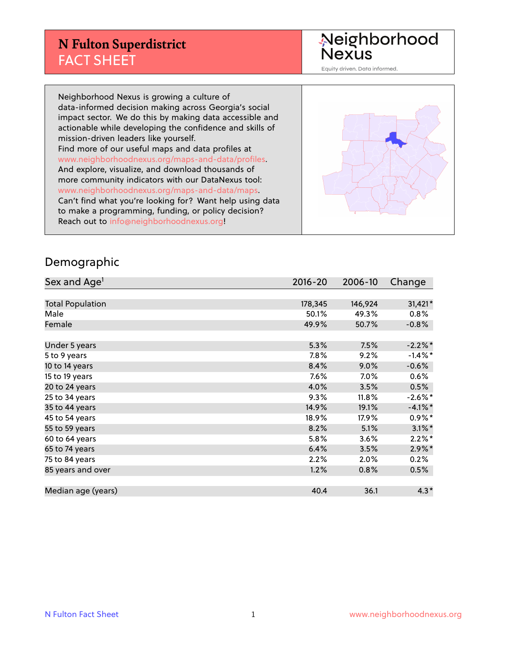## **N Fulton Superdistrict** FACT SHEET

Neighborhood<br>Nexus

Equity driven. Data informed.

Neighborhood Nexus is growing a culture of data-informed decision making across Georgia's social impact sector. We do this by making data accessible and actionable while developing the confidence and skills of mission-driven leaders like yourself. Find more of our useful maps and data profiles at www.neighborhoodnexus.org/maps-and-data/profiles. And explore, visualize, and download thousands of more community indicators with our DataNexus tool: www.neighborhoodnexus.org/maps-and-data/maps. Can't find what you're looking for? Want help using data to make a programming, funding, or policy decision? Reach out to [info@neighborhoodnexus.org!](mailto:info@neighborhoodnexus.org)



#### Demographic

| Sex and Age <sup>1</sup> | $2016 - 20$ | 2006-10 | Change     |
|--------------------------|-------------|---------|------------|
|                          |             |         |            |
| <b>Total Population</b>  | 178,345     | 146,924 | 31,421*    |
| Male                     | 50.1%       | 49.3%   | $0.8\%$    |
| Female                   | 49.9%       | 50.7%   | $-0.8\%$   |
|                          |             |         |            |
| Under 5 years            | 5.3%        | 7.5%    | $-2.2%$ *  |
| 5 to 9 years             | 7.8%        | 9.2%    | $-1.4\%$ * |
| 10 to 14 years           | 8.4%        | 9.0%    | $-0.6%$    |
| 15 to 19 years           | 7.6%        | $7.0\%$ | 0.6%       |
| 20 to 24 years           | 4.0%        | 3.5%    | 0.5%       |
| 25 to 34 years           | 9.3%        | 11.8%   | $-2.6\%$ * |
| 35 to 44 years           | 14.9%       | 19.1%   | $-4.1%$ *  |
| 45 to 54 years           | 18.9%       | 17.9%   | $0.9\%$ *  |
| 55 to 59 years           | 8.2%        | 5.1%    | $3.1\%$ *  |
| 60 to 64 years           | 5.8%        | 3.6%    | $2.2\%$ *  |
| 65 to 74 years           | 6.4%        | 3.5%    | $2.9\%$ *  |
| 75 to 84 years           | 2.2%        | 2.0%    | 0.2%       |
| 85 years and over        | 1.2%        | 0.8%    | 0.5%       |
|                          |             |         |            |
| Median age (years)       | 40.4        | 36.1    | $4.3*$     |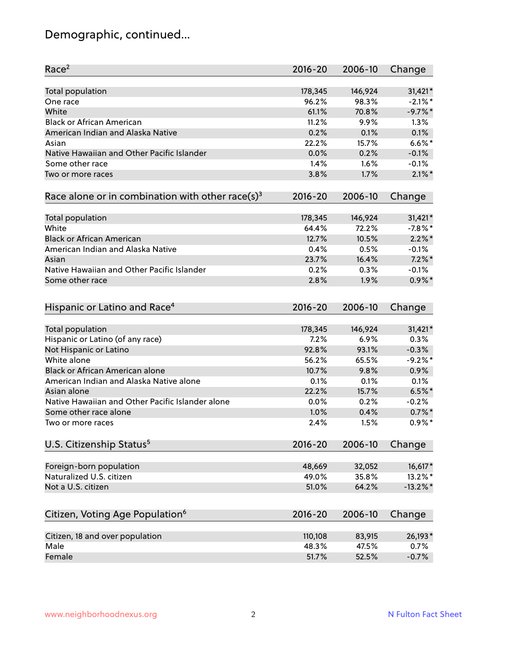# Demographic, continued...

| Race <sup>2</sup>                                            | $2016 - 20$     | 2006-10         | Change      |
|--------------------------------------------------------------|-----------------|-----------------|-------------|
| <b>Total population</b>                                      | 178,345         | 146,924         | 31,421*     |
| One race                                                     | 96.2%           | 98.3%           | $-2.1\%$ *  |
| White                                                        | 61.1%           | 70.8%           | $-9.7%$ *   |
| <b>Black or African American</b>                             | 11.2%           | 9.9%            | 1.3%        |
| American Indian and Alaska Native                            | 0.2%            | 0.1%            | 0.1%        |
| Asian                                                        | 22.2%           | 15.7%           | $6.6\%$ *   |
| Native Hawaiian and Other Pacific Islander                   | 0.0%            | 0.2%            | $-0.1%$     |
| Some other race                                              | 1.4%            | 1.6%            | $-0.1%$     |
| Two or more races                                            | 3.8%            | 1.7%            | $2.1\%$ *   |
| Race alone or in combination with other race(s) <sup>3</sup> | $2016 - 20$     | 2006-10         | Change      |
| Total population                                             | 178,345         | 146,924         | 31,421*     |
| White                                                        | 64.4%           | 72.2%           | $-7.8%$ *   |
| <b>Black or African American</b>                             | 12.7%           | 10.5%           | $2.2\%$ *   |
| American Indian and Alaska Native                            | 0.4%            | 0.5%            | $-0.1%$     |
| Asian                                                        | 23.7%           | 16.4%           | $7.2\%$ *   |
| Native Hawaiian and Other Pacific Islander                   | 0.2%            | 0.3%            | $-0.1%$     |
| Some other race                                              | 2.8%            | 1.9%            | $0.9\%$ *   |
|                                                              |                 |                 |             |
| Hispanic or Latino and Race <sup>4</sup>                     | $2016 - 20$     | 2006-10         | Change      |
| Total population                                             | 178,345         | 146,924         | 31,421*     |
| Hispanic or Latino (of any race)                             | 7.2%            | 6.9%            | 0.3%        |
| Not Hispanic or Latino                                       | 92.8%           | 93.1%           | $-0.3%$     |
| White alone                                                  | 56.2%           | 65.5%           | $-9.2%$     |
| Black or African American alone                              | 10.7%           | 9.8%            | 0.9%        |
| American Indian and Alaska Native alone                      | 0.1%            | 0.1%            | 0.1%        |
| Asian alone                                                  | 22.2%           | 15.7%           | $6.5%$ *    |
| Native Hawaiian and Other Pacific Islander alone             | 0.0%            | 0.2%            | $-0.2%$     |
| Some other race alone                                        | 1.0%            | 0.4%            | $0.7%$ *    |
| Two or more races                                            | 2.4%            | 1.5%            | $0.9\%*$    |
| U.S. Citizenship Status <sup>5</sup>                         | 2016-20         | 2006-10         | Change      |
| Foreign-born population                                      |                 |                 | 16,617*     |
| Naturalized U.S. citizen                                     | 48,669<br>49.0% | 32,052<br>35.8% | 13.2%*      |
| Not a U.S. citizen                                           | 51.0%           | 64.2%           | $-13.2\%$ * |
|                                                              |                 |                 |             |
| Citizen, Voting Age Population <sup>6</sup>                  | $2016 - 20$     | 2006-10         | Change      |
| Citizen, 18 and over population                              | 110,108         | 83,915          | 26,193*     |
| Male                                                         | 48.3%           | 47.5%           | 0.7%        |
| Female                                                       | 51.7%           | 52.5%           | $-0.7%$     |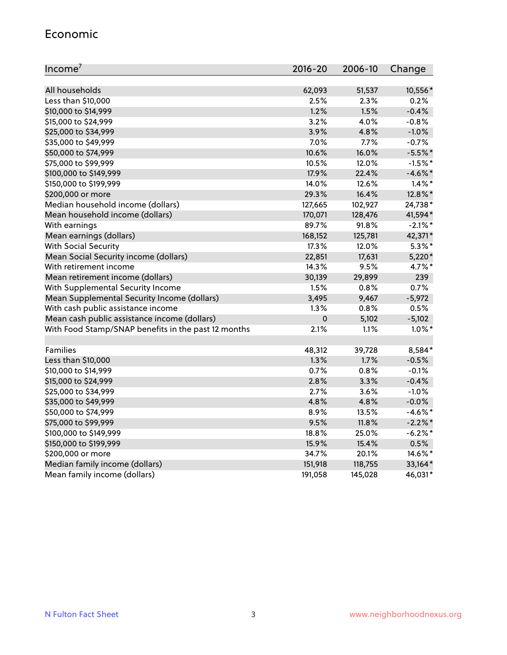#### Economic

| Income <sup>7</sup>                                 | 2016-20     | 2006-10 | Change     |
|-----------------------------------------------------|-------------|---------|------------|
|                                                     |             |         |            |
| All households                                      | 62,093      | 51,537  | 10,556*    |
| Less than \$10,000                                  | 2.5%        | 2.3%    | 0.2%       |
| \$10,000 to \$14,999                                | 1.2%        | 1.5%    | $-0.4%$    |
| \$15,000 to \$24,999                                | 3.2%        | 4.0%    | $-0.8%$    |
| \$25,000 to \$34,999                                | 3.9%        | 4.8%    | $-1.0%$    |
| \$35,000 to \$49,999                                | 7.0%        | 7.7%    | $-0.7%$    |
| \$50,000 to \$74,999                                | 10.6%       | 16.0%   | $-5.5%$ *  |
| \$75,000 to \$99,999                                | 10.5%       | 12.0%   | $-1.5%$ *  |
| \$100,000 to \$149,999                              | 17.9%       | 22.4%   | $-4.6\%$ * |
| \$150,000 to \$199,999                              | 14.0%       | 12.6%   | $1.4\%$ *  |
| \$200,000 or more                                   | 29.3%       | 16.4%   | 12.8%*     |
| Median household income (dollars)                   | 127,665     | 102,927 | 24,738*    |
| Mean household income (dollars)                     | 170,071     | 128,476 | 41,594*    |
| With earnings                                       | 89.7%       | 91.8%   | $-2.1\%$ * |
| Mean earnings (dollars)                             | 168,152     | 125,781 | 42,371*    |
| <b>With Social Security</b>                         | 17.3%       | 12.0%   | $5.3\%$ *  |
| Mean Social Security income (dollars)               | 22,851      | 17,631  | $5,220*$   |
| With retirement income                              | 14.3%       | 9.5%    | 4.7%*      |
| Mean retirement income (dollars)                    | 30,139      | 29,899  | 239        |
| With Supplemental Security Income                   | 1.5%        | 0.8%    | 0.7%       |
| Mean Supplemental Security Income (dollars)         | 3,495       | 9,467   | $-5,972$   |
| With cash public assistance income                  | 1.3%        | 0.8%    | 0.5%       |
| Mean cash public assistance income (dollars)        | $\mathbf 0$ | 5,102   | $-5,102$   |
| With Food Stamp/SNAP benefits in the past 12 months | 2.1%        | 1.1%    | $1.0\%$ *  |
|                                                     |             |         |            |
| Families                                            | 48,312      | 39,728  | 8,584*     |
| Less than \$10,000                                  | 1.3%        | 1.7%    | $-0.5%$    |
| \$10,000 to \$14,999                                | 0.7%        | $0.8\%$ | $-0.1%$    |
| \$15,000 to \$24,999                                | 2.8%        | 3.3%    | $-0.4%$    |
| \$25,000 to \$34,999                                | 2.7%        | 3.6%    | $-1.0%$    |
| \$35,000 to \$49,999                                | 4.8%        | 4.8%    | $-0.0%$    |
| \$50,000 to \$74,999                                | 8.9%        | 13.5%   | $-4.6\%$ * |
| \$75,000 to \$99,999                                | 9.5%        | 11.8%   | $-2.2\%$ * |
| \$100,000 to \$149,999                              | 18.8%       | 25.0%   | $-6.2%$ *  |
| \$150,000 to \$199,999                              | 15.9%       | 15.4%   | 0.5%       |
| \$200,000 or more                                   | 34.7%       | 20.1%   | 14.6%*     |
| Median family income (dollars)                      | 151,918     | 118,755 | 33,164*    |
| Mean family income (dollars)                        | 191,058     | 145,028 | 46,031*    |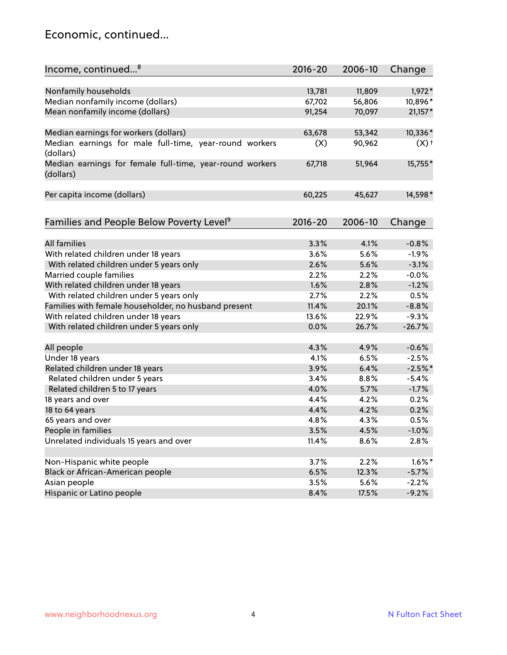## Economic, continued...

| Income, continued <sup>8</sup>                                        | $2016 - 20$ | 2006-10 | Change             |
|-----------------------------------------------------------------------|-------------|---------|--------------------|
|                                                                       |             |         |                    |
| Nonfamily households                                                  | 13,781      | 11,809  | 1,972*             |
| Median nonfamily income (dollars)                                     | 67,702      | 56,806  | 10,896*            |
| Mean nonfamily income (dollars)                                       | 91,254      | 70,097  | $21,157*$          |
| Median earnings for workers (dollars)                                 | 63,678      | 53,342  | 10,336*            |
| Median earnings for male full-time, year-round workers                | (X)         | 90,962  | $(X)$ <sup>+</sup> |
| (dollars)                                                             |             |         |                    |
| Median earnings for female full-time, year-round workers<br>(dollars) | 67,718      | 51,964  | 15,755*            |
| Per capita income (dollars)                                           | 60,225      | 45,627  | 14,598*            |
|                                                                       |             |         |                    |
| Families and People Below Poverty Level <sup>9</sup>                  | 2016-20     | 2006-10 | Change             |
|                                                                       |             |         |                    |
| <b>All families</b>                                                   | 3.3%        | 4.1%    | $-0.8%$            |
| With related children under 18 years                                  | 3.6%        | 5.6%    | $-1.9%$            |
| With related children under 5 years only                              | 2.6%        | 5.6%    | $-3.1%$            |
| Married couple families                                               | 2.2%        | 2.2%    | $-0.0%$            |
| With related children under 18 years                                  | 1.6%        | 2.8%    | $-1.2%$            |
| With related children under 5 years only                              | 2.7%        | 2.2%    | 0.5%               |
| Families with female householder, no husband present                  | 11.4%       | 20.1%   | $-8.8%$            |
| With related children under 18 years                                  | 13.6%       | 22.9%   | $-9.3%$            |
| With related children under 5 years only                              | 0.0%        | 26.7%   | $-26.7%$           |
| All people                                                            | 4.3%        | 4.9%    | $-0.6%$            |
| Under 18 years                                                        | 4.1%        | 6.5%    | $-2.5%$            |
| Related children under 18 years                                       | 3.9%        | 6.4%    | $-2.5%$ *          |
| Related children under 5 years                                        | 3.4%        | 8.8%    | $-5.4%$            |
| Related children 5 to 17 years                                        | 4.0%        | 5.7%    | $-1.7%$            |
| 18 years and over                                                     | 4.4%        | 4.2%    | 0.2%               |
| 18 to 64 years                                                        | 4.4%        | 4.2%    | 0.2%               |
| 65 years and over                                                     | 4.8%        | 4.3%    | 0.5%               |
|                                                                       |             |         |                    |
| People in families                                                    | 3.5%        | 4.5%    | $-1.0%$            |
| Unrelated individuals 15 years and over                               | 11.4%       | 8.6%    | 2.8%               |
|                                                                       |             |         |                    |
| Non-Hispanic white people                                             | 3.7%        | 2.2%    | $1.6\%$ *          |
| Black or African-American people                                      | 6.5%        | 12.3%   | $-5.7%$            |
| Asian people                                                          | 3.5%        | 5.6%    | $-2.2%$            |
| Hispanic or Latino people                                             | 8.4%        | 17.5%   | $-9.2%$            |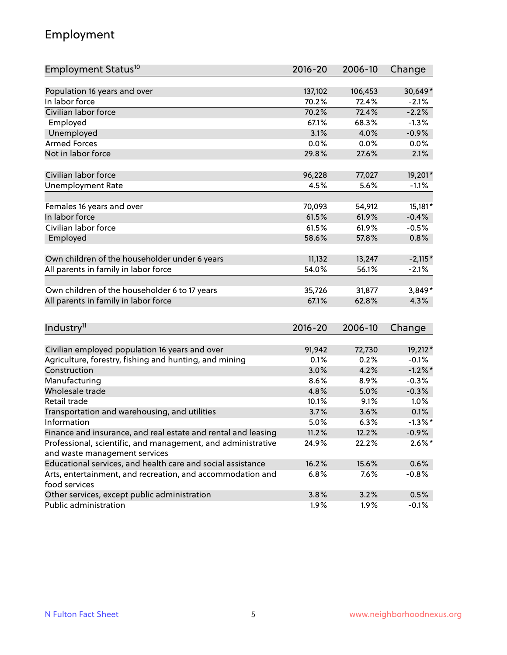# Employment

| Employment Status <sup>10</sup>                                                               | $2016 - 20$ | 2006-10 | Change       |
|-----------------------------------------------------------------------------------------------|-------------|---------|--------------|
|                                                                                               |             |         |              |
| Population 16 years and over                                                                  | 137,102     | 106,453 | 30,649*      |
| In labor force                                                                                | 70.2%       | 72.4%   | $-2.1%$      |
| Civilian labor force                                                                          | 70.2%       | 72.4%   | $-2.2%$      |
| Employed                                                                                      | 67.1%       | 68.3%   | $-1.3%$      |
| Unemployed                                                                                    | 3.1%        | 4.0%    | $-0.9%$      |
| <b>Armed Forces</b>                                                                           | 0.0%        | 0.0%    | 0.0%         |
| Not in labor force                                                                            | 29.8%       | 27.6%   | 2.1%         |
| Civilian labor force                                                                          | 96,228      | 77,027  | 19,201*      |
| <b>Unemployment Rate</b>                                                                      | 4.5%        | 5.6%    | $-1.1%$      |
|                                                                                               |             |         |              |
| Females 16 years and over                                                                     | 70,093      | 54,912  | $15,181*$    |
| In labor force                                                                                | 61.5%       | 61.9%   | $-0.4%$      |
| Civilian labor force                                                                          | 61.5%       | 61.9%   | $-0.5%$      |
| Employed                                                                                      | 58.6%       | 57.8%   | 0.8%         |
|                                                                                               |             |         |              |
| Own children of the householder under 6 years                                                 | 11,132      | 13,247  | $-2,115*$    |
| All parents in family in labor force                                                          | 54.0%       | 56.1%   | $-2.1%$      |
| Own children of the householder 6 to 17 years                                                 | 35,726      | 31,877  | 3,849*       |
| All parents in family in labor force                                                          | 67.1%       | 62.8%   | 4.3%         |
|                                                                                               |             |         |              |
| Industry <sup>11</sup>                                                                        | $2016 - 20$ | 2006-10 | Change       |
|                                                                                               |             |         |              |
| Civilian employed population 16 years and over                                                | 91,942      | 72,730  | 19,212*      |
| Agriculture, forestry, fishing and hunting, and mining                                        | 0.1%        | 0.2%    | $-0.1%$      |
| Construction                                                                                  | 3.0%        | 4.2%    | $-1.2\%$ *   |
| Manufacturing                                                                                 | 8.6%        | 8.9%    | $-0.3%$      |
| Wholesale trade                                                                               | 4.8%        | 5.0%    | $-0.3%$      |
| Retail trade                                                                                  | 10.1%       | 9.1%    | 1.0%<br>0.1% |
| Transportation and warehousing, and utilities<br>Information                                  | 3.7%        | 3.6%    |              |
|                                                                                               | 5.0%        | 6.3%    | $-1.3\%$ *   |
| Finance and insurance, and real estate and rental and leasing                                 | 11.2%       | 12.2%   | $-0.9\%$     |
| Professional, scientific, and management, and administrative<br>and waste management services | 24.9%       | 22.2%   | $2.6\%$ *    |
| Educational services, and health care and social assistance                                   | 16.2%       | 15.6%   | 0.6%         |
| Arts, entertainment, and recreation, and accommodation and                                    | 6.8%        | 7.6%    | $-0.8%$      |
| food services                                                                                 |             |         |              |
| Other services, except public administration                                                  | 3.8%        | 3.2%    | 0.5%         |
| Public administration                                                                         | 1.9%        | 1.9%    | $-0.1%$      |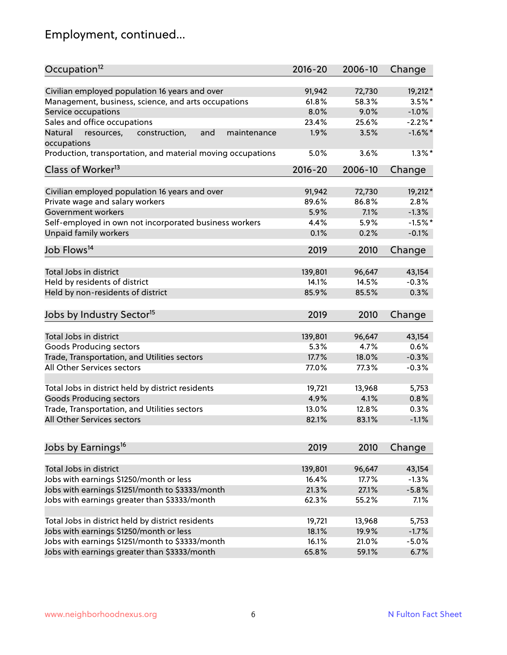# Employment, continued...

| Occupation <sup>12</sup>                                     | $2016 - 20$ | 2006-10 | Change     |
|--------------------------------------------------------------|-------------|---------|------------|
| Civilian employed population 16 years and over               | 91,942      | 72,730  | 19,212*    |
| Management, business, science, and arts occupations          | 61.8%       | 58.3%   | $3.5\%$ *  |
| Service occupations                                          | 8.0%        | 9.0%    | $-1.0%$    |
| Sales and office occupations                                 | 23.4%       | 25.6%   | $-2.2\%$ * |
| Natural<br>and<br>resources,<br>construction,<br>maintenance | 1.9%        | 3.5%    | $-1.6\%$ * |
| occupations                                                  |             |         |            |
| Production, transportation, and material moving occupations  | 5.0%        | 3.6%    | $1.3\%$ *  |
| Class of Worker <sup>13</sup>                                | $2016 - 20$ | 2006-10 | Change     |
| Civilian employed population 16 years and over               | 91,942      | 72,730  | 19,212*    |
| Private wage and salary workers                              | 89.6%       | 86.8%   | 2.8%       |
| Government workers                                           | 5.9%        | 7.1%    | $-1.3%$    |
| Self-employed in own not incorporated business workers       | 4.4%        | 5.9%    | $-1.5%$ *  |
| Unpaid family workers                                        | 0.1%        | 0.2%    | $-0.1%$    |
| Job Flows <sup>14</sup>                                      | 2019        | 2010    | Change     |
|                                                              |             |         |            |
| Total Jobs in district                                       | 139,801     | 96,647  | 43,154     |
| Held by residents of district                                | 14.1%       | 14.5%   | $-0.3%$    |
| Held by non-residents of district                            | 85.9%       | 85.5%   | 0.3%       |
| Jobs by Industry Sector <sup>15</sup>                        | 2019        | 2010    | Change     |
| Total Jobs in district                                       | 139,801     | 96,647  | 43,154     |
| Goods Producing sectors                                      | 5.3%        | 4.7%    | 0.6%       |
| Trade, Transportation, and Utilities sectors                 | 17.7%       | 18.0%   | $-0.3%$    |
| All Other Services sectors                                   | 77.0%       | 77.3%   | $-0.3%$    |
|                                                              |             |         |            |
| Total Jobs in district held by district residents            | 19,721      | 13,968  | 5,753      |
| <b>Goods Producing sectors</b>                               | 4.9%        | 4.1%    | 0.8%       |
| Trade, Transportation, and Utilities sectors                 | 13.0%       | 12.8%   | 0.3%       |
| All Other Services sectors                                   | 82.1%       | 83.1%   | $-1.1%$    |
|                                                              |             |         |            |
| Jobs by Earnings <sup>16</sup>                               | 2019        | 2010    | Change     |
| Total Jobs in district                                       | 139,801     | 96,647  | 43,154     |
| Jobs with earnings \$1250/month or less                      | 16.4%       | 17.7%   | $-1.3%$    |
| Jobs with earnings \$1251/month to \$3333/month              | 21.3%       | 27.1%   | $-5.8%$    |
| Jobs with earnings greater than \$3333/month                 | 62.3%       | 55.2%   | 7.1%       |
|                                                              |             |         |            |
| Total Jobs in district held by district residents            | 19,721      | 13,968  | 5,753      |
| Jobs with earnings \$1250/month or less                      | 18.1%       | 19.9%   | $-1.7%$    |
| Jobs with earnings \$1251/month to \$3333/month              | 16.1%       | 21.0%   | $-5.0%$    |
| Jobs with earnings greater than \$3333/month                 | 65.8%       | 59.1%   | 6.7%       |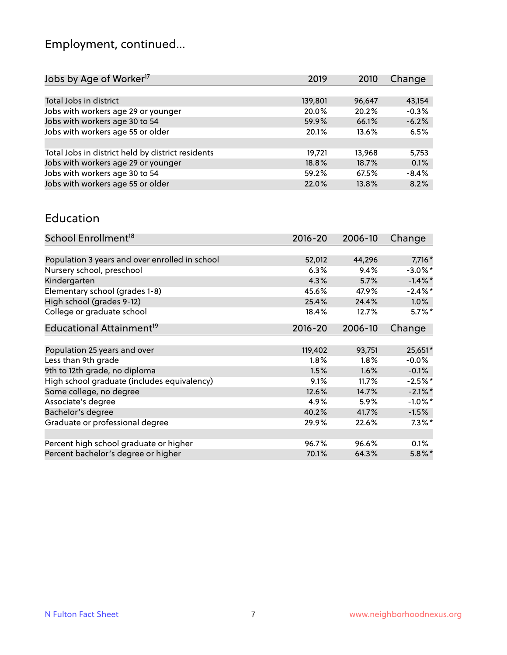# Employment, continued...

| 2010   | Change                                                                          |
|--------|---------------------------------------------------------------------------------|
|        |                                                                                 |
| 96,647 | 43,154                                                                          |
| 20.2%  | $-0.3%$                                                                         |
| 66.1%  | $-6.2%$                                                                         |
| 13.6%  | 6.5%                                                                            |
|        |                                                                                 |
| 13.968 | 5,753                                                                           |
| 18.7%  | 0.1%                                                                            |
| 67.5%  | $-8.4%$                                                                         |
| 13.8%  | 8.2%                                                                            |
|        | 2019<br>139,801<br>20.0%<br>59.9%<br>20.1%<br>19,721<br>18.8%<br>59.2%<br>22.0% |

#### Education

| School Enrollment <sup>18</sup>                | $2016 - 20$ | 2006-10 | Change     |
|------------------------------------------------|-------------|---------|------------|
|                                                |             |         |            |
| Population 3 years and over enrolled in school | 52,012      | 44,296  | $7,716*$   |
| Nursery school, preschool                      | 6.3%        | 9.4%    | $-3.0\%$ * |
| Kindergarten                                   | 4.3%        | 5.7%    | $-1.4\%$ * |
| Elementary school (grades 1-8)                 | 45.6%       | 47.9%   | $-2.4\%$ * |
| High school (grades 9-12)                      | 25.4%       | 24.4%   | 1.0%       |
| College or graduate school                     | 18.4%       | 12.7%   | $5.7\%$ *  |
| Educational Attainment <sup>19</sup>           | $2016 - 20$ | 2006-10 | Change     |
|                                                |             |         |            |
| Population 25 years and over                   | 119,402     | 93,751  | 25,651*    |
| Less than 9th grade                            | 1.8%        | 1.8%    | $-0.0\%$   |
| 9th to 12th grade, no diploma                  | 1.5%        | 1.6%    | $-0.1%$    |
| High school graduate (includes equivalency)    | 9.1%        | 11.7%   | $-2.5%$ *  |
| Some college, no degree                        | 12.6%       | 14.7%   | $-2.1\%$ * |
| Associate's degree                             | 4.9%        | 5.9%    | $-1.0\%$ * |
| Bachelor's degree                              | 40.2%       | 41.7%   | $-1.5%$    |
| Graduate or professional degree                | 29.9%       | 22.6%   | $7.3\%$ *  |
|                                                |             |         |            |
| Percent high school graduate or higher         | 96.7%       | 96.6%   | 0.1%       |
| Percent bachelor's degree or higher            | 70.1%       | 64.3%   | $5.8\%$ *  |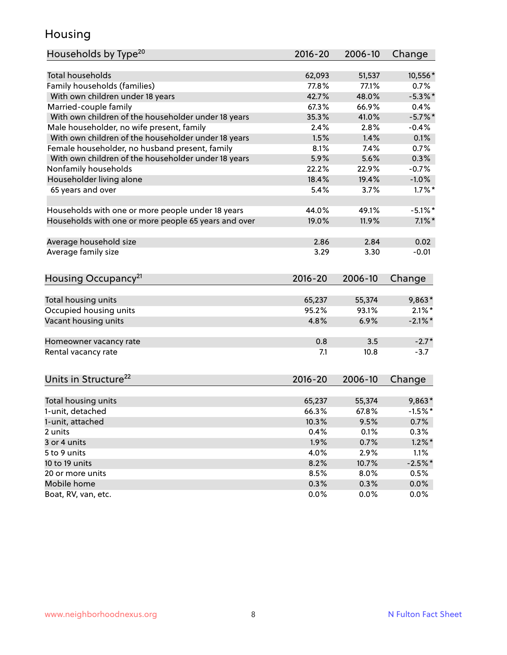## Housing

| <b>Total households</b><br>10,556*<br>62,093<br>51,537<br>Family households (families)<br>77.8%<br>77.1%<br>0.7%<br>$-5.3\%$ *<br>With own children under 18 years<br>42.7%<br>48.0%<br>Married-couple family<br>67.3%<br>66.9%<br>0.4%<br>With own children of the householder under 18 years<br>35.3%<br>41.0%<br>$-5.7\%$ *<br>Male householder, no wife present, family<br>2.4%<br>2.8%<br>$-0.4%$<br>With own children of the householder under 18 years<br>1.5%<br>1.4%<br>0.1%<br>Female householder, no husband present, family<br>8.1%<br>7.4%<br>0.7%<br>With own children of the householder under 18 years<br>5.9%<br>5.6%<br>0.3%<br>Nonfamily households<br>$-0.7%$<br>22.2%<br>22.9%<br>Householder living alone<br>18.4%<br>$-1.0%$<br>19.4%<br>65 years and over<br>5.4%<br>$1.7\%$ *<br>3.7%<br>44.0%<br>49.1%<br>$-5.1\%$ *<br>Households with one or more people under 18 years<br>Households with one or more people 65 years and over<br>19.0%<br>11.9%<br>$7.1\%$ *<br>Average household size<br>2.84<br>0.02<br>2.86<br>Average family size<br>$-0.01$<br>3.29<br>3.30<br>Housing Occupancy <sup>21</sup><br>$2016 - 20$<br>2006-10<br>Change<br>Total housing units<br>65,237<br>55,374<br>$9,863*$<br>95.2%<br>$2.1\%$ *<br>Occupied housing units<br>93.1%<br>Vacant housing units<br>4.8%<br>6.9%<br>$-2.1\%$ *<br>0.8<br>3.5<br>$-2.7*$<br>Homeowner vacancy rate<br>Rental vacancy rate<br>7.1<br>10.8<br>$-3.7$<br>Units in Structure <sup>22</sup><br>$2016 - 20$<br>2006-10<br>Change<br>Total housing units<br>65,237<br>55,374<br>$9,863*$<br>1-unit, detached<br>$-1.5%$ *<br>66.3%<br>67.8%<br>1-unit, attached<br>10.3%<br>9.5%<br>0.7%<br>0.3%<br>2 units<br>0.4%<br>0.1%<br>0.7%<br>$1.2\%$ *<br>3 or 4 units<br>1.9%<br>5 to 9 units<br>4.0%<br>2.9%<br>1.1% | Households by Type <sup>20</sup> | 2016-20 | 2006-10 | Change |
|-------------------------------------------------------------------------------------------------------------------------------------------------------------------------------------------------------------------------------------------------------------------------------------------------------------------------------------------------------------------------------------------------------------------------------------------------------------------------------------------------------------------------------------------------------------------------------------------------------------------------------------------------------------------------------------------------------------------------------------------------------------------------------------------------------------------------------------------------------------------------------------------------------------------------------------------------------------------------------------------------------------------------------------------------------------------------------------------------------------------------------------------------------------------------------------------------------------------------------------------------------------------------------------------------------------------------------------------------------------------------------------------------------------------------------------------------------------------------------------------------------------------------------------------------------------------------------------------------------------------------------------------------------------------------------------------------------------------------------------------------------------------------------------------------------|----------------------------------|---------|---------|--------|
|                                                                                                                                                                                                                                                                                                                                                                                                                                                                                                                                                                                                                                                                                                                                                                                                                                                                                                                                                                                                                                                                                                                                                                                                                                                                                                                                                                                                                                                                                                                                                                                                                                                                                                                                                                                                       |                                  |         |         |        |
|                                                                                                                                                                                                                                                                                                                                                                                                                                                                                                                                                                                                                                                                                                                                                                                                                                                                                                                                                                                                                                                                                                                                                                                                                                                                                                                                                                                                                                                                                                                                                                                                                                                                                                                                                                                                       |                                  |         |         |        |
|                                                                                                                                                                                                                                                                                                                                                                                                                                                                                                                                                                                                                                                                                                                                                                                                                                                                                                                                                                                                                                                                                                                                                                                                                                                                                                                                                                                                                                                                                                                                                                                                                                                                                                                                                                                                       |                                  |         |         |        |
|                                                                                                                                                                                                                                                                                                                                                                                                                                                                                                                                                                                                                                                                                                                                                                                                                                                                                                                                                                                                                                                                                                                                                                                                                                                                                                                                                                                                                                                                                                                                                                                                                                                                                                                                                                                                       |                                  |         |         |        |
|                                                                                                                                                                                                                                                                                                                                                                                                                                                                                                                                                                                                                                                                                                                                                                                                                                                                                                                                                                                                                                                                                                                                                                                                                                                                                                                                                                                                                                                                                                                                                                                                                                                                                                                                                                                                       |                                  |         |         |        |
|                                                                                                                                                                                                                                                                                                                                                                                                                                                                                                                                                                                                                                                                                                                                                                                                                                                                                                                                                                                                                                                                                                                                                                                                                                                                                                                                                                                                                                                                                                                                                                                                                                                                                                                                                                                                       |                                  |         |         |        |
|                                                                                                                                                                                                                                                                                                                                                                                                                                                                                                                                                                                                                                                                                                                                                                                                                                                                                                                                                                                                                                                                                                                                                                                                                                                                                                                                                                                                                                                                                                                                                                                                                                                                                                                                                                                                       |                                  |         |         |        |
|                                                                                                                                                                                                                                                                                                                                                                                                                                                                                                                                                                                                                                                                                                                                                                                                                                                                                                                                                                                                                                                                                                                                                                                                                                                                                                                                                                                                                                                                                                                                                                                                                                                                                                                                                                                                       |                                  |         |         |        |
|                                                                                                                                                                                                                                                                                                                                                                                                                                                                                                                                                                                                                                                                                                                                                                                                                                                                                                                                                                                                                                                                                                                                                                                                                                                                                                                                                                                                                                                                                                                                                                                                                                                                                                                                                                                                       |                                  |         |         |        |
|                                                                                                                                                                                                                                                                                                                                                                                                                                                                                                                                                                                                                                                                                                                                                                                                                                                                                                                                                                                                                                                                                                                                                                                                                                                                                                                                                                                                                                                                                                                                                                                                                                                                                                                                                                                                       |                                  |         |         |        |
|                                                                                                                                                                                                                                                                                                                                                                                                                                                                                                                                                                                                                                                                                                                                                                                                                                                                                                                                                                                                                                                                                                                                                                                                                                                                                                                                                                                                                                                                                                                                                                                                                                                                                                                                                                                                       |                                  |         |         |        |
|                                                                                                                                                                                                                                                                                                                                                                                                                                                                                                                                                                                                                                                                                                                                                                                                                                                                                                                                                                                                                                                                                                                                                                                                                                                                                                                                                                                                                                                                                                                                                                                                                                                                                                                                                                                                       |                                  |         |         |        |
|                                                                                                                                                                                                                                                                                                                                                                                                                                                                                                                                                                                                                                                                                                                                                                                                                                                                                                                                                                                                                                                                                                                                                                                                                                                                                                                                                                                                                                                                                                                                                                                                                                                                                                                                                                                                       |                                  |         |         |        |
|                                                                                                                                                                                                                                                                                                                                                                                                                                                                                                                                                                                                                                                                                                                                                                                                                                                                                                                                                                                                                                                                                                                                                                                                                                                                                                                                                                                                                                                                                                                                                                                                                                                                                                                                                                                                       |                                  |         |         |        |
|                                                                                                                                                                                                                                                                                                                                                                                                                                                                                                                                                                                                                                                                                                                                                                                                                                                                                                                                                                                                                                                                                                                                                                                                                                                                                                                                                                                                                                                                                                                                                                                                                                                                                                                                                                                                       |                                  |         |         |        |
|                                                                                                                                                                                                                                                                                                                                                                                                                                                                                                                                                                                                                                                                                                                                                                                                                                                                                                                                                                                                                                                                                                                                                                                                                                                                                                                                                                                                                                                                                                                                                                                                                                                                                                                                                                                                       |                                  |         |         |        |
|                                                                                                                                                                                                                                                                                                                                                                                                                                                                                                                                                                                                                                                                                                                                                                                                                                                                                                                                                                                                                                                                                                                                                                                                                                                                                                                                                                                                                                                                                                                                                                                                                                                                                                                                                                                                       |                                  |         |         |        |
|                                                                                                                                                                                                                                                                                                                                                                                                                                                                                                                                                                                                                                                                                                                                                                                                                                                                                                                                                                                                                                                                                                                                                                                                                                                                                                                                                                                                                                                                                                                                                                                                                                                                                                                                                                                                       |                                  |         |         |        |
|                                                                                                                                                                                                                                                                                                                                                                                                                                                                                                                                                                                                                                                                                                                                                                                                                                                                                                                                                                                                                                                                                                                                                                                                                                                                                                                                                                                                                                                                                                                                                                                                                                                                                                                                                                                                       |                                  |         |         |        |
|                                                                                                                                                                                                                                                                                                                                                                                                                                                                                                                                                                                                                                                                                                                                                                                                                                                                                                                                                                                                                                                                                                                                                                                                                                                                                                                                                                                                                                                                                                                                                                                                                                                                                                                                                                                                       |                                  |         |         |        |
|                                                                                                                                                                                                                                                                                                                                                                                                                                                                                                                                                                                                                                                                                                                                                                                                                                                                                                                                                                                                                                                                                                                                                                                                                                                                                                                                                                                                                                                                                                                                                                                                                                                                                                                                                                                                       |                                  |         |         |        |
|                                                                                                                                                                                                                                                                                                                                                                                                                                                                                                                                                                                                                                                                                                                                                                                                                                                                                                                                                                                                                                                                                                                                                                                                                                                                                                                                                                                                                                                                                                                                                                                                                                                                                                                                                                                                       |                                  |         |         |        |
|                                                                                                                                                                                                                                                                                                                                                                                                                                                                                                                                                                                                                                                                                                                                                                                                                                                                                                                                                                                                                                                                                                                                                                                                                                                                                                                                                                                                                                                                                                                                                                                                                                                                                                                                                                                                       |                                  |         |         |        |
|                                                                                                                                                                                                                                                                                                                                                                                                                                                                                                                                                                                                                                                                                                                                                                                                                                                                                                                                                                                                                                                                                                                                                                                                                                                                                                                                                                                                                                                                                                                                                                                                                                                                                                                                                                                                       |                                  |         |         |        |
|                                                                                                                                                                                                                                                                                                                                                                                                                                                                                                                                                                                                                                                                                                                                                                                                                                                                                                                                                                                                                                                                                                                                                                                                                                                                                                                                                                                                                                                                                                                                                                                                                                                                                                                                                                                                       |                                  |         |         |        |
|                                                                                                                                                                                                                                                                                                                                                                                                                                                                                                                                                                                                                                                                                                                                                                                                                                                                                                                                                                                                                                                                                                                                                                                                                                                                                                                                                                                                                                                                                                                                                                                                                                                                                                                                                                                                       |                                  |         |         |        |
|                                                                                                                                                                                                                                                                                                                                                                                                                                                                                                                                                                                                                                                                                                                                                                                                                                                                                                                                                                                                                                                                                                                                                                                                                                                                                                                                                                                                                                                                                                                                                                                                                                                                                                                                                                                                       |                                  |         |         |        |
|                                                                                                                                                                                                                                                                                                                                                                                                                                                                                                                                                                                                                                                                                                                                                                                                                                                                                                                                                                                                                                                                                                                                                                                                                                                                                                                                                                                                                                                                                                                                                                                                                                                                                                                                                                                                       |                                  |         |         |        |
|                                                                                                                                                                                                                                                                                                                                                                                                                                                                                                                                                                                                                                                                                                                                                                                                                                                                                                                                                                                                                                                                                                                                                                                                                                                                                                                                                                                                                                                                                                                                                                                                                                                                                                                                                                                                       |                                  |         |         |        |
|                                                                                                                                                                                                                                                                                                                                                                                                                                                                                                                                                                                                                                                                                                                                                                                                                                                                                                                                                                                                                                                                                                                                                                                                                                                                                                                                                                                                                                                                                                                                                                                                                                                                                                                                                                                                       |                                  |         |         |        |
|                                                                                                                                                                                                                                                                                                                                                                                                                                                                                                                                                                                                                                                                                                                                                                                                                                                                                                                                                                                                                                                                                                                                                                                                                                                                                                                                                                                                                                                                                                                                                                                                                                                                                                                                                                                                       |                                  |         |         |        |
|                                                                                                                                                                                                                                                                                                                                                                                                                                                                                                                                                                                                                                                                                                                                                                                                                                                                                                                                                                                                                                                                                                                                                                                                                                                                                                                                                                                                                                                                                                                                                                                                                                                                                                                                                                                                       |                                  |         |         |        |
|                                                                                                                                                                                                                                                                                                                                                                                                                                                                                                                                                                                                                                                                                                                                                                                                                                                                                                                                                                                                                                                                                                                                                                                                                                                                                                                                                                                                                                                                                                                                                                                                                                                                                                                                                                                                       |                                  |         |         |        |
|                                                                                                                                                                                                                                                                                                                                                                                                                                                                                                                                                                                                                                                                                                                                                                                                                                                                                                                                                                                                                                                                                                                                                                                                                                                                                                                                                                                                                                                                                                                                                                                                                                                                                                                                                                                                       |                                  |         |         |        |
|                                                                                                                                                                                                                                                                                                                                                                                                                                                                                                                                                                                                                                                                                                                                                                                                                                                                                                                                                                                                                                                                                                                                                                                                                                                                                                                                                                                                                                                                                                                                                                                                                                                                                                                                                                                                       |                                  |         |         |        |
|                                                                                                                                                                                                                                                                                                                                                                                                                                                                                                                                                                                                                                                                                                                                                                                                                                                                                                                                                                                                                                                                                                                                                                                                                                                                                                                                                                                                                                                                                                                                                                                                                                                                                                                                                                                                       |                                  |         |         |        |
|                                                                                                                                                                                                                                                                                                                                                                                                                                                                                                                                                                                                                                                                                                                                                                                                                                                                                                                                                                                                                                                                                                                                                                                                                                                                                                                                                                                                                                                                                                                                                                                                                                                                                                                                                                                                       |                                  |         |         |        |
| $-2.5%$ *<br>10 to 19 units<br>8.2%<br>10.7%                                                                                                                                                                                                                                                                                                                                                                                                                                                                                                                                                                                                                                                                                                                                                                                                                                                                                                                                                                                                                                                                                                                                                                                                                                                                                                                                                                                                                                                                                                                                                                                                                                                                                                                                                          |                                  |         |         |        |
| 20 or more units<br>8.5%<br>8.0%<br>0.5%                                                                                                                                                                                                                                                                                                                                                                                                                                                                                                                                                                                                                                                                                                                                                                                                                                                                                                                                                                                                                                                                                                                                                                                                                                                                                                                                                                                                                                                                                                                                                                                                                                                                                                                                                              |                                  |         |         |        |
| Mobile home<br>0.3%<br>0.3%<br>0.0%                                                                                                                                                                                                                                                                                                                                                                                                                                                                                                                                                                                                                                                                                                                                                                                                                                                                                                                                                                                                                                                                                                                                                                                                                                                                                                                                                                                                                                                                                                                                                                                                                                                                                                                                                                   |                                  |         |         |        |
| Boat, RV, van, etc.<br>0.0%<br>0.0%<br>0.0%                                                                                                                                                                                                                                                                                                                                                                                                                                                                                                                                                                                                                                                                                                                                                                                                                                                                                                                                                                                                                                                                                                                                                                                                                                                                                                                                                                                                                                                                                                                                                                                                                                                                                                                                                           |                                  |         |         |        |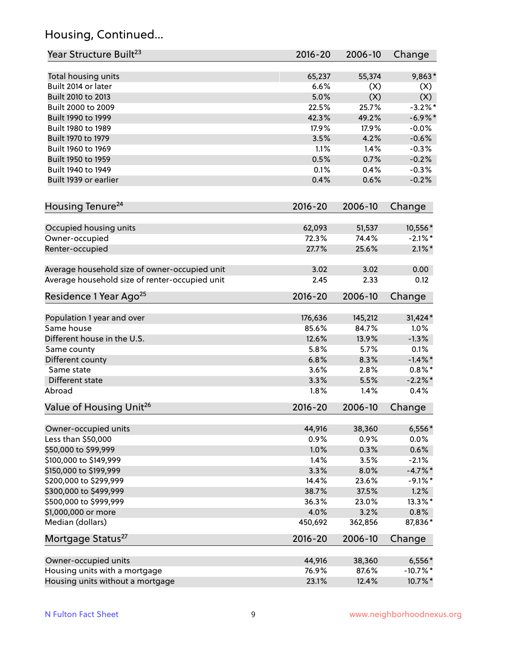# Housing, Continued...

| Year Structure Built <sup>23</sup>             | 2016-20     | 2006-10 | Change     |
|------------------------------------------------|-------------|---------|------------|
| Total housing units                            | 65,237      | 55,374  | 9,863*     |
| Built 2014 or later                            | 6.6%        | (X)     | (X)        |
| Built 2010 to 2013                             | 5.0%        | (X)     | (X)        |
| Built 2000 to 2009                             | 22.5%       | 25.7%   | $-3.2\%$ * |
| Built 1990 to 1999                             | 42.3%       | 49.2%   | $-6.9\%$ * |
| Built 1980 to 1989                             | 17.9%       | 17.9%   | $-0.0%$    |
| Built 1970 to 1979                             | 3.5%        | 4.2%    | $-0.6%$    |
| Built 1960 to 1969                             | 1.1%        | 1.4%    | $-0.3%$    |
| Built 1950 to 1959                             | 0.5%        | 0.7%    | $-0.2%$    |
| Built 1940 to 1949                             | 0.1%        | 0.4%    | $-0.3%$    |
| Built 1939 or earlier                          | 0.4%        | 0.6%    | $-0.2%$    |
| Housing Tenure <sup>24</sup>                   | $2016 - 20$ | 2006-10 |            |
|                                                |             |         | Change     |
| Occupied housing units                         | 62,093      | 51,537  | 10,556*    |
| Owner-occupied                                 | 72.3%       | 74.4%   | $-2.1\%$ * |
| Renter-occupied                                | 27.7%       | 25.6%   | $2.1\%$ *  |
| Average household size of owner-occupied unit  | 3.02        | 3.02    | 0.00       |
| Average household size of renter-occupied unit | 2.45        | 2.33    | 0.12       |
| Residence 1 Year Ago <sup>25</sup>             | $2016 - 20$ | 2006-10 | Change     |
|                                                |             |         |            |
| Population 1 year and over                     | 176,636     | 145,212 | 31,424*    |
| Same house                                     | 85.6%       | 84.7%   | 1.0%       |
| Different house in the U.S.                    | 12.6%       | 13.9%   | $-1.3%$    |
| Same county                                    | 5.8%        | 5.7%    | 0.1%       |
| Different county                               | 6.8%        | 8.3%    | $-1.4\%$ * |
| Same state                                     | 3.6%        | 2.8%    | $0.8\%$ *  |
| Different state                                | 3.3%        | 5.5%    | $-2.2\%$ * |
| Abroad                                         | 1.8%        | 1.4%    | 0.4%       |
| Value of Housing Unit <sup>26</sup>            | $2016 - 20$ | 2006-10 | Change     |
| Owner-occupied units                           | 44,916      | 38,360  | $6,556*$   |
| Less than \$50,000                             | 0.9%        | 0.9%    | 0.0%       |
| \$50,000 to \$99,999                           | 1.0%        | 0.3%    | 0.6%       |
| \$100,000 to \$149,999                         | 1.4%        | 3.5%    | $-2.1%$    |
| \$150,000 to \$199,999                         | 3.3%        | 8.0%    | $-4.7%$ *  |
| \$200,000 to \$299,999                         | 14.4%       | 23.6%   | $-9.1\%$ * |
| \$300,000 to \$499,999                         | 38.7%       | 37.5%   | 1.2%       |
| \$500,000 to \$999,999                         | 36.3%       | 23.0%   | 13.3%*     |
| \$1,000,000 or more                            | 4.0%        | 3.2%    | 0.8%       |
| Median (dollars)                               | 450,692     | 362,856 | 87,836*    |
| Mortgage Status <sup>27</sup>                  | $2016 - 20$ | 2006-10 | Change     |
|                                                |             |         |            |
| Owner-occupied units                           | 44,916      | 38,360  | $6,556*$   |
| Housing units with a mortgage                  | 76.9%       | 87.6%   | $-10.7%$ * |
| Housing units without a mortgage               | 23.1%       | 12.4%   | 10.7%*     |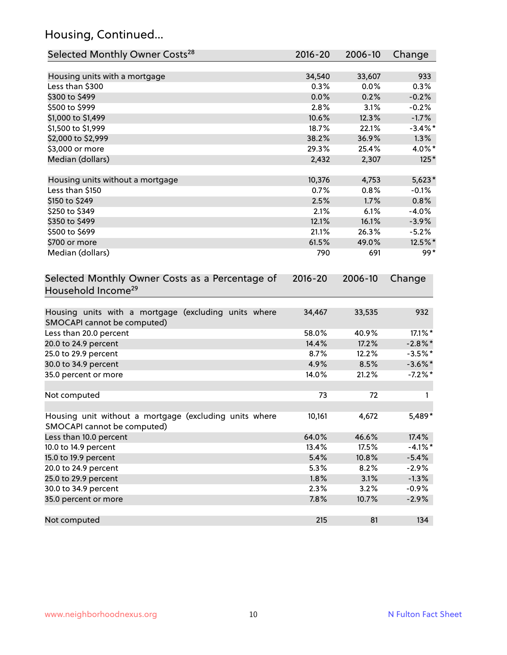# Housing, Continued...

| Selected Monthly Owner Costs <sup>28</sup>                                            | 2016-20 | 2006-10 | Change     |
|---------------------------------------------------------------------------------------|---------|---------|------------|
| Housing units with a mortgage                                                         | 34,540  | 33,607  | 933        |
| Less than \$300                                                                       | 0.3%    | 0.0%    | 0.3%       |
| \$300 to \$499                                                                        | 0.0%    | 0.2%    | $-0.2%$    |
| \$500 to \$999                                                                        | 2.8%    | 3.1%    | $-0.2%$    |
| \$1,000 to \$1,499                                                                    | 10.6%   | 12.3%   | $-1.7%$    |
| \$1,500 to \$1,999                                                                    | 18.7%   | 22.1%   | $-3.4\%$ * |
| \$2,000 to \$2,999                                                                    | 38.2%   | 36.9%   | 1.3%       |
| \$3,000 or more                                                                       | 29.3%   | 25.4%   | 4.0%*      |
| Median (dollars)                                                                      | 2,432   | 2,307   | $125*$     |
| Housing units without a mortgage                                                      | 10,376  | 4,753   | $5,623*$   |
| Less than \$150                                                                       | 0.7%    | 0.8%    | $-0.1%$    |
| \$150 to \$249                                                                        | 2.5%    | 1.7%    | 0.8%       |
| \$250 to \$349                                                                        | 2.1%    | 6.1%    | $-4.0%$    |
| \$350 to \$499                                                                        | 12.1%   | 16.1%   | $-3.9%$    |
| \$500 to \$699                                                                        | 21.1%   | 26.3%   | $-5.2%$    |
| \$700 or more                                                                         | 61.5%   | 49.0%   | 12.5%*     |
| Median (dollars)                                                                      | 790     | 691     | $99*$      |
| Household Income <sup>29</sup>                                                        |         |         |            |
| Housing units with a mortgage (excluding units where                                  | 34,467  | 33,535  | 932        |
| SMOCAPI cannot be computed)<br>Less than 20.0 percent                                 | 58.0%   | 40.9%   | 17.1%*     |
| 20.0 to 24.9 percent                                                                  | 14.4%   | 17.2%   | $-2.8\%$ * |
| 25.0 to 29.9 percent                                                                  | 8.7%    | 12.2%   | $-3.5%$ *  |
| 30.0 to 34.9 percent                                                                  | 4.9%    | 8.5%    | $-3.6\%$ * |
| 35.0 percent or more                                                                  | 14.0%   | 21.2%   | $-7.2\%$ * |
|                                                                                       |         |         |            |
| Not computed                                                                          | 73      | 72      | 1          |
| Housing unit without a mortgage (excluding units where<br>SMOCAPI cannot be computed) | 10,161  | 4,672   | 5,489*     |
| Less than 10.0 percent                                                                | 64.0%   | 46.6%   | 17.4%      |
| 10.0 to 14.9 percent                                                                  | 13.4%   | 17.5%   | $-4.1%$ *  |
| 15.0 to 19.9 percent                                                                  | 5.4%    | 10.8%   | $-5.4%$    |
| 20.0 to 24.9 percent                                                                  | 5.3%    | 8.2%    | $-2.9%$    |
| 25.0 to 29.9 percent                                                                  | 1.8%    | 3.1%    | $-1.3%$    |
| 30.0 to 34.9 percent                                                                  | 2.3%    | 3.2%    | $-0.9%$    |
| 35.0 percent or more                                                                  | 7.8%    | 10.7%   | $-2.9%$    |
| Not computed                                                                          | 215     | 81      | 134        |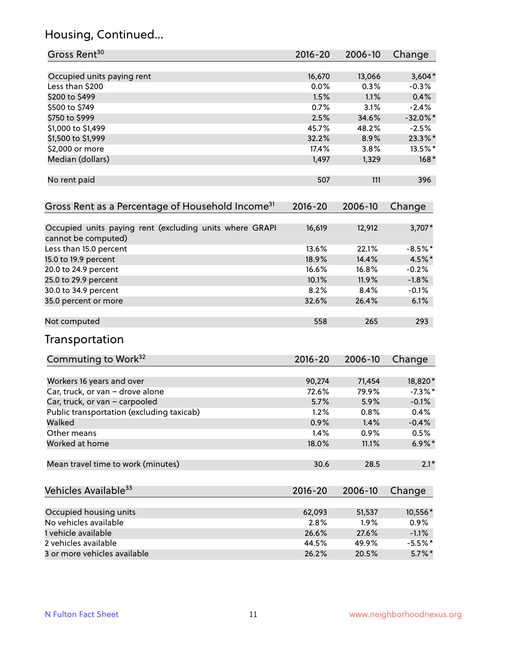# Housing, Continued...

| Gross Rent <sup>30</sup>                                                       | 2016-20     | 2006-10 | Change      |
|--------------------------------------------------------------------------------|-------------|---------|-------------|
| Occupied units paying rent                                                     | 16,670      | 13,066  | $3,604*$    |
| Less than \$200                                                                | 0.0%        | 0.3%    | $-0.3%$     |
| \$200 to \$499                                                                 | 1.5%        | 1.1%    | 0.4%        |
| \$500 to \$749                                                                 | 0.7%        | 3.1%    | $-2.4%$     |
| \$750 to \$999                                                                 | 2.5%        | 34.6%   | $-32.0\%$ * |
| \$1,000 to \$1,499                                                             | 45.7%       | 48.2%   | $-2.5%$     |
| \$1,500 to \$1,999                                                             | 32.2%       | 8.9%    | 23.3%*      |
| \$2,000 or more                                                                | 17.4%       | 3.8%    | 13.5%*      |
| Median (dollars)                                                               | 1,497       | 1,329   | $168*$      |
| No rent paid                                                                   | 507         | 111     | 396         |
| Gross Rent as a Percentage of Household Income <sup>31</sup>                   | $2016 - 20$ | 2006-10 | Change      |
| Occupied units paying rent (excluding units where GRAPI<br>cannot be computed) | 16,619      | 12,912  | $3,707*$    |
| Less than 15.0 percent                                                         | 13.6%       | 22.1%   | $-8.5%$ *   |
| 15.0 to 19.9 percent                                                           | 18.9%       | 14.4%   | 4.5%*       |
| 20.0 to 24.9 percent                                                           | 16.6%       | 16.8%   | $-0.2%$     |
| 25.0 to 29.9 percent                                                           | 10.1%       | 11.9%   | $-1.8%$     |
| 30.0 to 34.9 percent                                                           | 8.2%        | 8.4%    | $-0.1%$     |
| 35.0 percent or more                                                           | 32.6%       | 26.4%   | 6.1%        |
| Not computed                                                                   | 558         | 265     | 293         |
| Transportation                                                                 |             |         |             |
| Commuting to Work <sup>32</sup>                                                | 2016-20     | 2006-10 | Change      |
| Workers 16 years and over                                                      | 90,274      | 71,454  | 18,820*     |
| Car, truck, or van - drove alone                                               | 72.6%       | 79.9%   | $-7.3\%$ *  |
| Car, truck, or van - carpooled                                                 | 5.7%        | 5.9%    | $-0.1%$     |
| Public transportation (excluding taxicab)                                      | 1.2%        | 0.8%    | 0.4%        |
| Walked                                                                         | 0.9%        | 1.4%    | $-0.4%$     |
| Other means                                                                    | 1.4%        | 0.9%    | 0.5%        |
| Worked at home                                                                 | 18.0%       | 11.1%   | $6.9\%$ *   |
| Mean travel time to work (minutes)                                             | 30.6        | 28.5    | $2.1*$      |
| Vehicles Available <sup>33</sup>                                               | 2016-20     | 2006-10 | Change      |
| Occupied housing units                                                         | 62,093      | 51,537  | 10,556*     |
| No vehicles available                                                          | 2.8%        | 1.9%    | 0.9%        |
| 1 vehicle available                                                            | 26.6%       | 27.6%   | $-1.1%$     |
| 2 vehicles available                                                           | 44.5%       | 49.9%   | $-5.5\%$ *  |
| 3 or more vehicles available                                                   | 26.2%       | 20.5%   | $5.7\%$ *   |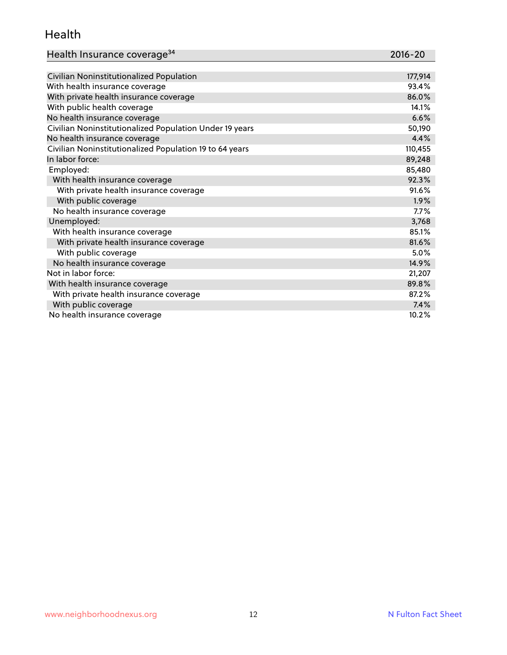### Health

| Health Insurance coverage <sup>34</sup> | 2016-20 |
|-----------------------------------------|---------|
|-----------------------------------------|---------|

| Civilian Noninstitutionalized Population                | 177,914 |
|---------------------------------------------------------|---------|
| With health insurance coverage                          | 93.4%   |
| With private health insurance coverage                  | 86.0%   |
| With public health coverage                             | 14.1%   |
| No health insurance coverage                            | 6.6%    |
| Civilian Noninstitutionalized Population Under 19 years | 50,190  |
| No health insurance coverage                            | 4.4%    |
| Civilian Noninstitutionalized Population 19 to 64 years | 110,455 |
| In labor force:                                         | 89,248  |
| Employed:                                               | 85,480  |
| With health insurance coverage                          | 92.3%   |
| With private health insurance coverage                  | 91.6%   |
| With public coverage                                    | 1.9%    |
| No health insurance coverage                            | 7.7%    |
| Unemployed:                                             | 3,768   |
| With health insurance coverage                          | 85.1%   |
| With private health insurance coverage                  | 81.6%   |
| With public coverage                                    | $5.0\%$ |
| No health insurance coverage                            | 14.9%   |
| Not in labor force:                                     | 21,207  |
| With health insurance coverage                          | 89.8%   |
| With private health insurance coverage                  | 87.2%   |
| With public coverage                                    | 7.4%    |
| No health insurance coverage                            | 10.2%   |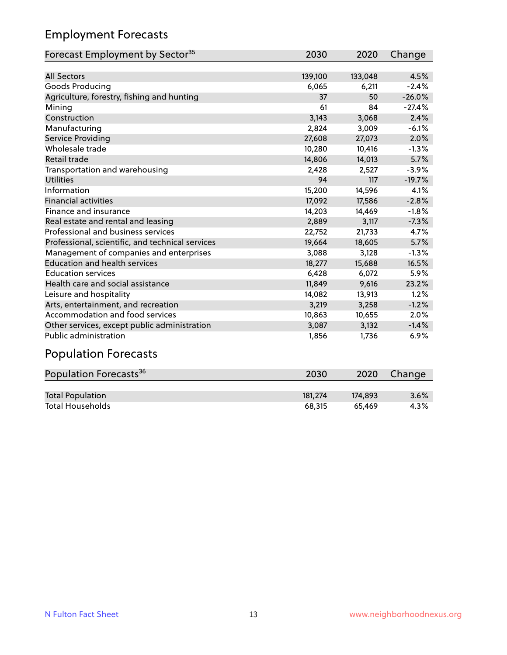# Employment Forecasts

| Forecast Employment by Sector <sup>35</sup>      | 2030    | 2020    | Change   |
|--------------------------------------------------|---------|---------|----------|
|                                                  |         |         |          |
| <b>All Sectors</b>                               | 139,100 | 133,048 | 4.5%     |
| Goods Producing                                  | 6,065   | 6,211   | $-2.4%$  |
| Agriculture, forestry, fishing and hunting       | 37      | 50      | $-26.0%$ |
| Mining                                           | 61      | 84      | $-27.4%$ |
| Construction                                     | 3,143   | 3,068   | 2.4%     |
| Manufacturing                                    | 2,824   | 3,009   | $-6.1%$  |
| Service Providing                                | 27,608  | 27,073  | 2.0%     |
| Wholesale trade                                  | 10,280  | 10,416  | $-1.3%$  |
| Retail trade                                     | 14,806  | 14,013  | 5.7%     |
| Transportation and warehousing                   | 2,428   | 2,527   | $-3.9%$  |
| <b>Utilities</b>                                 | 94      | 117     | $-19.7%$ |
| Information                                      | 15,200  | 14,596  | 4.1%     |
| <b>Financial activities</b>                      | 17,092  | 17,586  | $-2.8%$  |
| Finance and insurance                            | 14,203  | 14,469  | $-1.8%$  |
| Real estate and rental and leasing               | 2,889   | 3,117   | $-7.3%$  |
| Professional and business services               | 22,752  | 21,733  | 4.7%     |
| Professional, scientific, and technical services | 19,664  | 18,605  | 5.7%     |
| Management of companies and enterprises          | 3,088   | 3,128   | $-1.3%$  |
| <b>Education and health services</b>             | 18,277  | 15,688  | 16.5%    |
| <b>Education services</b>                        | 6,428   | 6,072   | 5.9%     |
| Health care and social assistance                | 11,849  | 9,616   | 23.2%    |
| Leisure and hospitality                          | 14,082  | 13,913  | 1.2%     |
| Arts, entertainment, and recreation              | 3,219   | 3,258   | $-1.2%$  |
| Accommodation and food services                  | 10,863  | 10,655  | 2.0%     |
| Other services, except public administration     | 3,087   | 3,132   | $-1.4%$  |
| <b>Public administration</b>                     | 1,856   | 1,736   | 6.9%     |

# Population Forecasts

| Population Forecasts <sup>36</sup> | 2030    | 2020    | Change  |
|------------------------------------|---------|---------|---------|
|                                    |         |         |         |
| <b>Total Population</b>            | 181.274 | 174.893 | $3.6\%$ |
| <b>Total Households</b>            | 68.315  | 65.469  | 4.3%    |